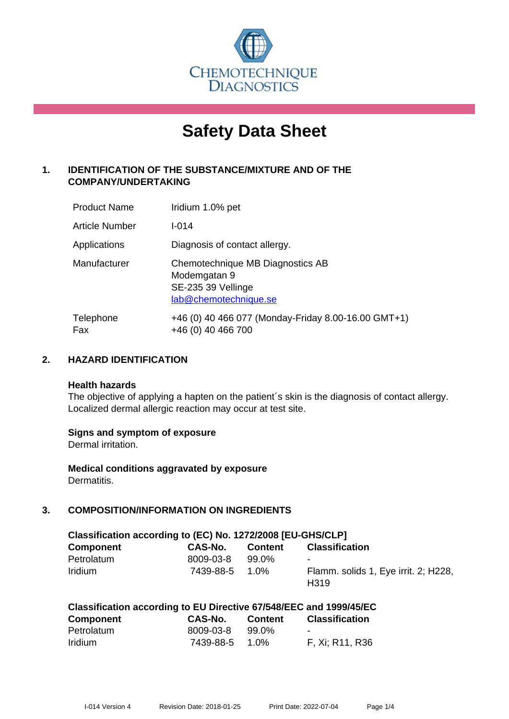

# **Safety Data Sheet**

# **1. IDENTIFICATION OF THE SUBSTANCE/MIXTURE AND OF THE COMPANY/UNDERTAKING**

| <b>Product Name</b>   | Iridium 1.0% pet                                                                                |
|-----------------------|-------------------------------------------------------------------------------------------------|
| <b>Article Number</b> | $1 - 014$                                                                                       |
| Applications          | Diagnosis of contact allergy.                                                                   |
| Manufacturer          | Chemotechnique MB Diagnostics AB<br>Modemgatan 9<br>SE-235 39 Vellinge<br>lab@chemotechnique.se |
| Telephone<br>Fax      | +46 (0) 40 466 077 (Monday-Friday 8.00-16.00 GMT+1)<br>+46 (0) 40 466 700                       |

## **2. HAZARD IDENTIFICATION**

#### **Health hazards**

The objective of applying a hapten on the patient's skin is the diagnosis of contact allergy. Localized dermal allergic reaction may occur at test site.

## **Signs and symptom of exposure**

Dermal irritation.

**Medical conditions aggravated by exposure** Dermatitis.

# **3. COMPOSITION/INFORMATION ON INGREDIENTS**

| Classification according to (EC) No. 1272/2008 [EU-GHS/CLP] |           |                |                                                          |
|-------------------------------------------------------------|-----------|----------------|----------------------------------------------------------|
| <b>Component</b>                                            | CAS-No.   | <b>Content</b> | <b>Classification</b>                                    |
| Petrolatum                                                  | 8009-03-8 | 99.0%          | $\blacksquare$                                           |
| <b>Iridium</b>                                              | 7439-88-5 | 1.0%           | Flamm. solids 1, Eye irrit. 2; H228,<br>H <sub>319</sub> |

|  | Classification according to EU Directive 67/548/EEC and 1999/45/EC |  |  |  |
|--|--------------------------------------------------------------------|--|--|--|
|--|--------------------------------------------------------------------|--|--|--|

| <b>Component</b> | CAS-No.        | <b>Content</b> | <b>Classification</b> |
|------------------|----------------|----------------|-----------------------|
| Petrolatum       | 8009-03-8      | 99.0%          | -                     |
| <b>Iridium</b>   | 7439-88-5 1.0% |                | F, Xi; R11, R36       |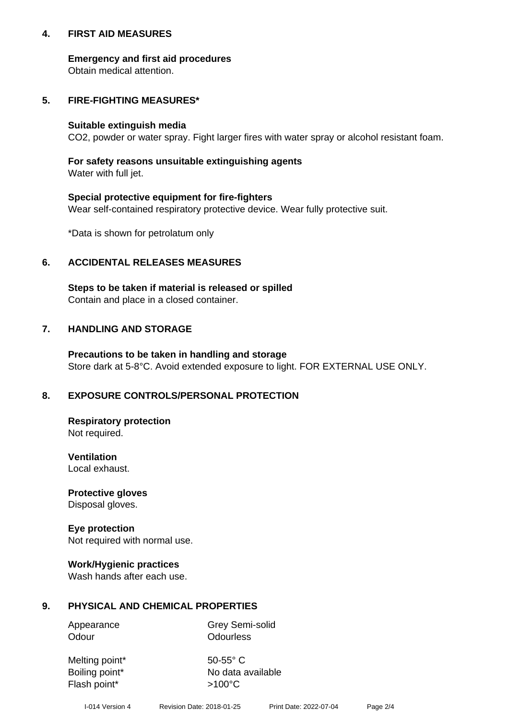## **4. FIRST AID MEASURES**

## **Emergency and first aid procedures**

Obtain medical attention.

# **5. FIRE-FIGHTING MEASURES\***

#### **Suitable extinguish media**

CO2, powder or water spray. Fight larger fires with water spray or alcohol resistant foam.

# **For safety reasons unsuitable extinguishing agents**

Water with full jet.

## **Special protective equipment for fire-fighters**

Wear self-contained respiratory protective device. Wear fully protective suit.

\*Data is shown for petrolatum only

## **6. ACCIDENTAL RELEASES MEASURES**

**Steps to be taken if material is released or spilled** Contain and place in a closed container.

# **7. HANDLING AND STORAGE**

**Precautions to be taken in handling and storage** Store dark at 5-8°C. Avoid extended exposure to light. FOR EXTERNAL USE ONLY.

# **8. EXPOSURE CONTROLS/PERSONAL PROTECTION**

**Respiratory protection** Not required.

**Ventilation** Local exhaust.

**Protective gloves** Disposal gloves.

#### **Eye protection** Not required with normal use.

## **Work/Hygienic practices**

Wash hands after each use.

## **9. PHYSICAL AND CHEMICAL PROPERTIES**

Odour **Odourless** 

Appearance Grey Semi-solid

Melting point\* 50-55° C Flash point\*  $>100^{\circ}$ C

Boiling point\* No data available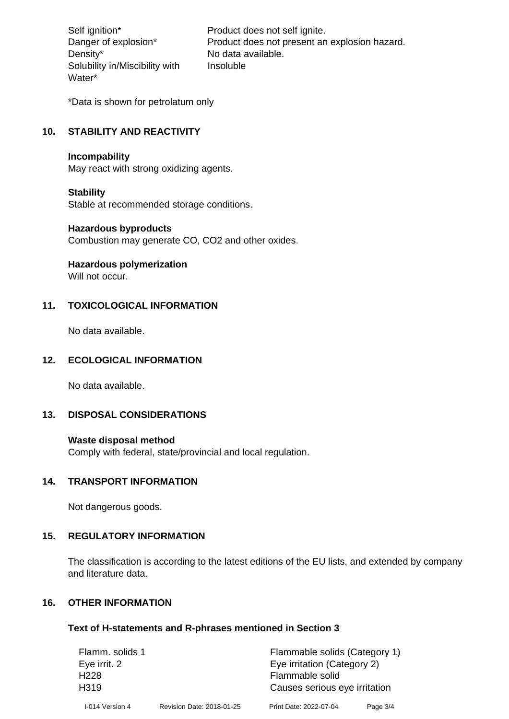Density\* No data available. Solubility in/Miscibility with Water\*

Self ignition\* Product does not self ignite. Danger of explosion\* Product does not present an explosion hazard. Insoluble

\*Data is shown for petrolatum only

# **10. STABILITY AND REACTIVITY**

#### **Incompability**

May react with strong oxidizing agents.

#### **Stability**

Stable at recommended storage conditions.

#### **Hazardous byproducts**

Combustion may generate CO, CO2 and other oxides.

**Hazardous polymerization**

Will not occur.

## **11. TOXICOLOGICAL INFORMATION**

No data available.

## **12. ECOLOGICAL INFORMATION**

No data available.

## **13. DISPOSAL CONSIDERATIONS**

#### **Waste disposal method**

Comply with federal, state/provincial and local regulation.

#### **14. TRANSPORT INFORMATION**

Not dangerous goods.

## **15. REGULATORY INFORMATION**

The classification is according to the latest editions of the EU lists, and extended by company and literature data.

#### **16. OTHER INFORMATION**

#### **Text of H-statements and R-phrases mentioned in Section 3**

| Flamm. solids 1  |                           | Flammable solids (Category 1) |          |
|------------------|---------------------------|-------------------------------|----------|
| Eye irrit. 2     |                           | Eye irritation (Category 2)   |          |
| H <sub>228</sub> |                           | Flammable solid               |          |
| H <sub>319</sub> |                           | Causes serious eye irritation |          |
| I-014 Version 4  | Revision Date: 2018-01-25 | Print Date: 2022-07-04        | Page 3/4 |